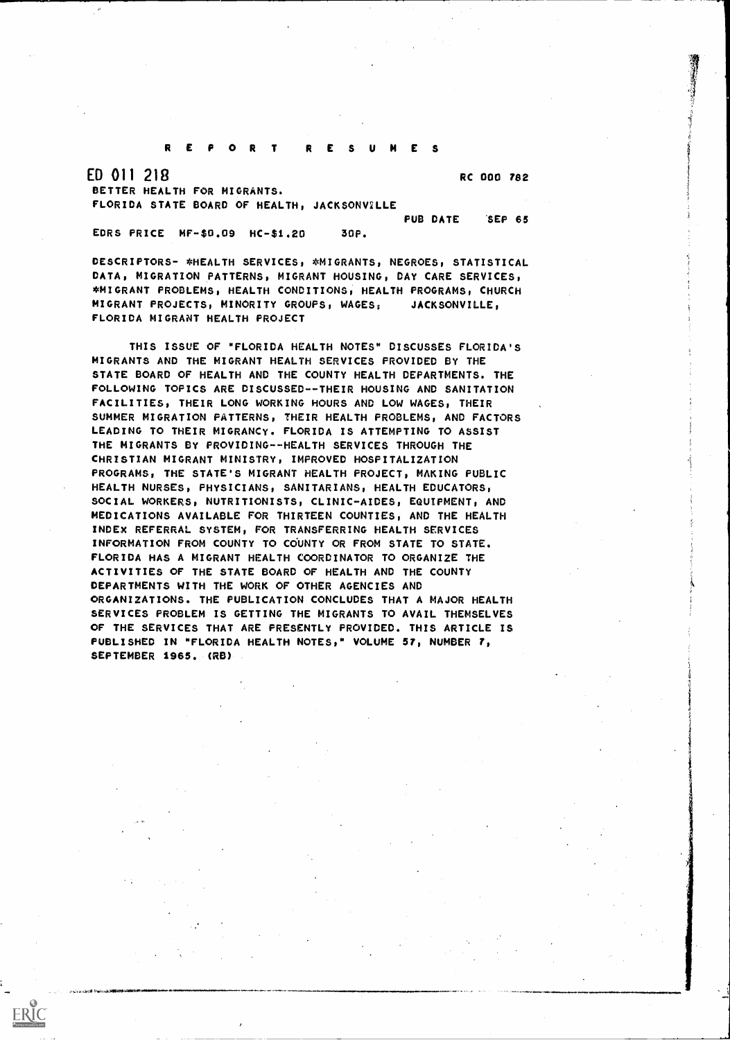## REPOR T RESUMES

ED 011 218 BETTER HEALTH FOR MIGRANTS. FLORIDA STATE BOARD OF HEALTH, JACKSONVILLE RC 000 782

EDRS PRICE MF -\$D.09 HC-\$1.20 30P.

ERIC

PUB DATE 'SEP 65

DESCRIPTORS- \*HEALTH SERVICES, \*MIGRANTS, NEGROES, STATISTICAL DATA, MIGRATION PATTERNS, MIGRANT HOUSING, DAY CARE SERVICES, \*MIGRANT PROBLEMS, HEALTH CONDITIONS, HEALTH PROGRAMS, CHURCH MIGRANT PROJECTS, MINORITY GROUPS, WAGES; JACKSONVILLE, FLORIDA MIGRANT HEALTH PROJECT

THIS ISSUE OF "FLORIDA HEALTH NOTES" DISCUSSES FLORIDA'S MIGRANTS AND THE MIGRANT HEALTH SERVICES PROVIDED BY THE STATE BOARD OF HEALTH AND THE COUNTY HEALTH DEPARTMENTS. THE FOLLOWING TOPICS ARE DISCUSSED--THEIR HOUSING AND SANITATION FACILITIES, THEIR LONG WORKING HOURS AND LOW WAGES, THEIR SUMMER MIGRATION PATTERNS, THEIR HEALTH PROBLEMS, AND FACTORS LEADING TO THEIR MIGRANCy. FLORIDA IS ATTEMPTING TO ASSIST THE MIGRANTS BY PROVIDING-HEALTH SERVICES THROUGH THE CHRISTIAN MIGRANT MINISTRY, IMPROVED HOSPITALIZATION PROGRAMS, THE STATE'S MIGRANT HEALTH PROJECT, MAKING PUBLIC HEALTH NURSES, PHYSICIANS, SANITARIANS, HEALTH EDUCATORS, SOCIAL WORKERS, NUTRITIONISTS, CLINIC-AIDES, EQUIPMENT, AND MEDICATIONS AVAILABLE FOR THIRTEEN COUNTIES, AND THE HEALTH INDEX REFERRAL SYSTEM, FOR TRANSFERRING HEALTH SERVICES INFORMATION FROM COUNTY TO COUNTY OR FROM STATE TO STATE. FLORIDA HAS A MIGRANT HEALTH COORDINATOR TO ORGANIZE THE ACTIVITIES OF THE STATE BOARD OF HEALTH AND THE COUNTY DEPARTMENTS WITH THE WORK OF OTHER AGENCIES AND ORGANIZATIONS. THE PUBLICATION CONCLUDES THAT A MAJOR HEALTH SERVICES PROBLEM IS GETTING THE MIGRANTS TO AVAIL THEMSELVES OF THE SERVICES THAT ARE PRESENTLY PROVIDED. THIS ARTICLE IS PUBLISHED IN "FLORIDA HEALTH NOTES," VOLUME 57, NUMBER 7, SEPTEMBER 1965. (RD)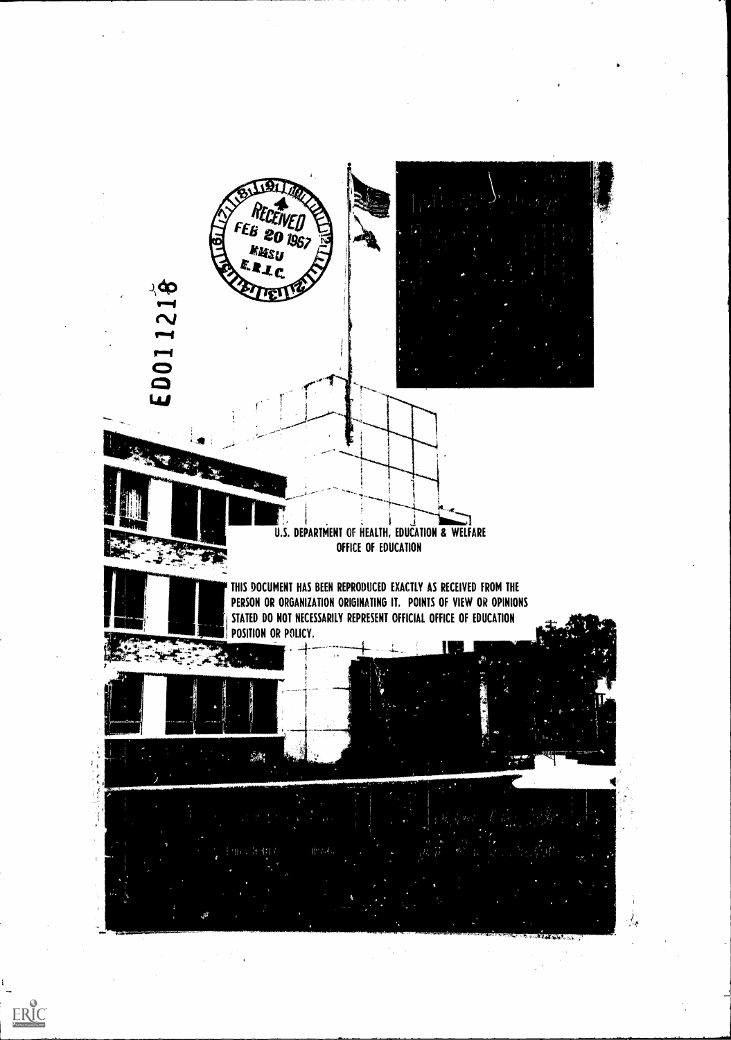

t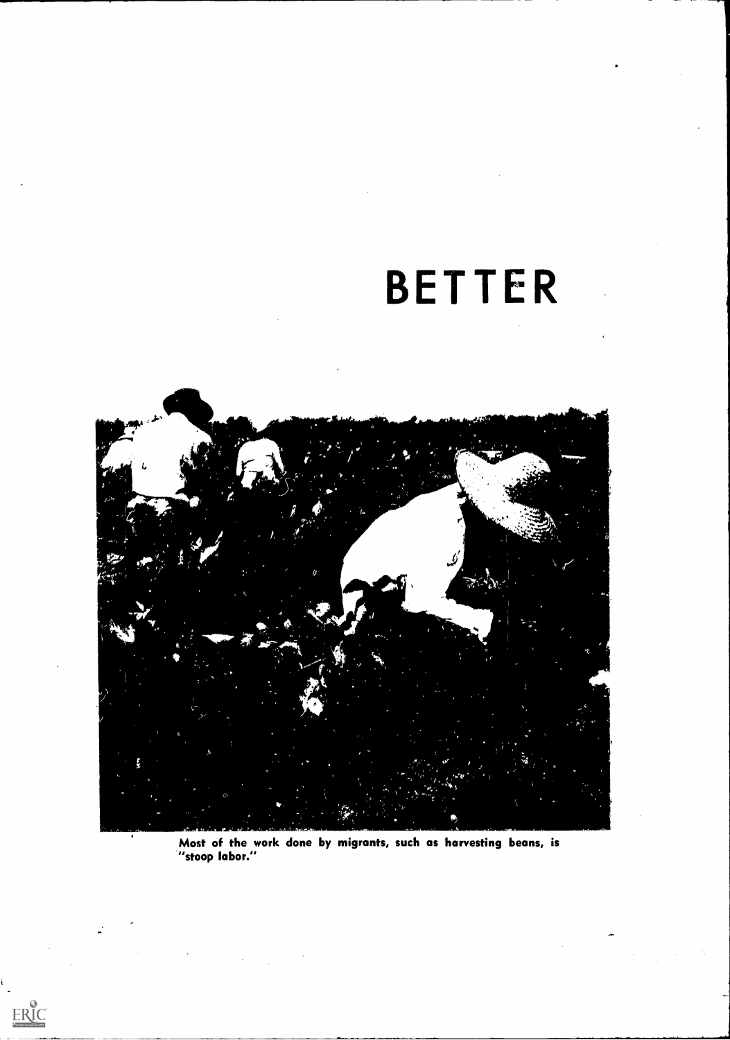# BETTER



Most of the work done by migrants, such as harvesting beans, is wost of the w

 $\label{eq:2.1} \mathcal{L}^{\text{max}}_{\text{max}}(\mathcal{L}^{\text{max}}_{\text{max}}(\mathcal{L}^{\text{max}}_{\text{max}}))$ 

 $\label{eq:2.1} \frac{1}{2}\sum_{i=1}^n\frac{1}{2\pi i}\sum_{j=1}^n\frac{1}{2\pi i\left(\frac{1}{2}\right)^{j+1}}\left(\frac{1}{2}\right)^{j+1}$ 

 $\frac{1}{2}$ 

 $ERIC$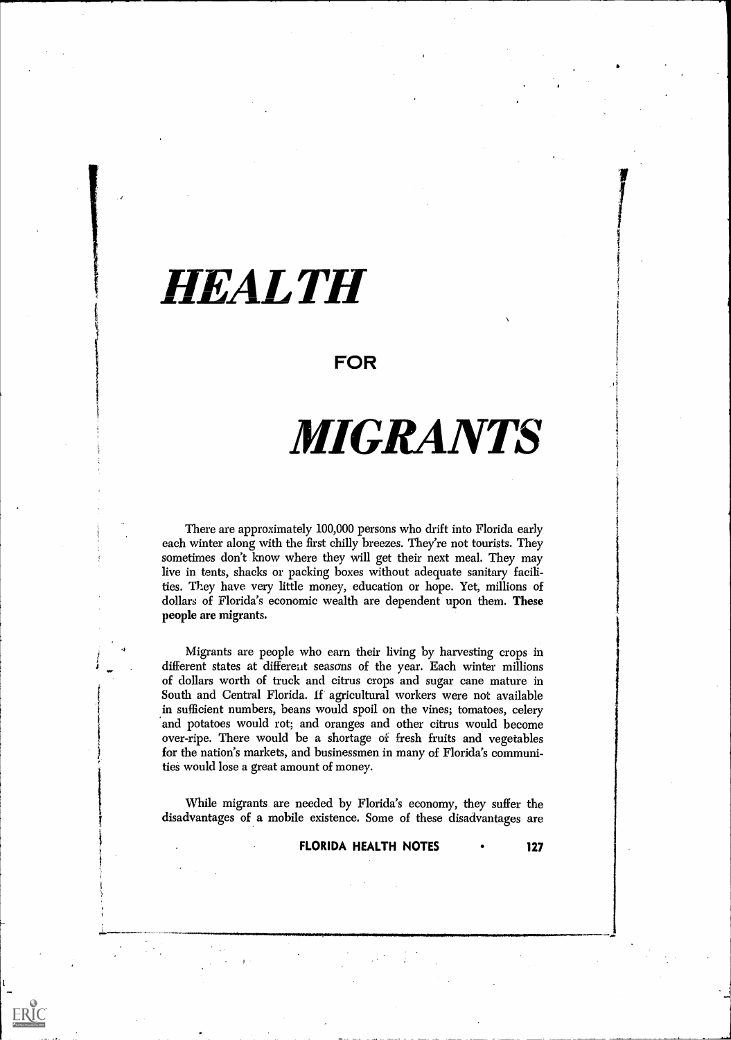## HEALTH

### FOR

## MIGRANTS

There are approximately 100,000 persons who drift into Florida early each winter along with the first chilly breezes. They're not tourists. They sometimes don't know where they will get their next meal. They may live in tents, shacks or packing boxes without adequate sanitary facilities. They have very little money, education or hope. Yet, millions of dollars of Florida's economic wealth are dependent upon them. These people are migrants.

Migrants are people who earn their living by harvesting crops in different states at different seasons of the year. Each winter millions of dollars worth of truck and citrus crops and sugar cane mature in South and Central Florida. if agricultural workers were not available in sufficient numbers, beans would spoil on the vines; tomatoes, celery and potatoes would rot; and oranges and other citrus would become over-ripe. There would be a shortage of fresh fruits and vegetables for the nation's markets, and businessmen in many of Florida's communities would lose a great amount of money.

While migrants are needed by Florida's economy, they suffer the disadvantages of a mobile existence. Some of these disadvantages are

ERIC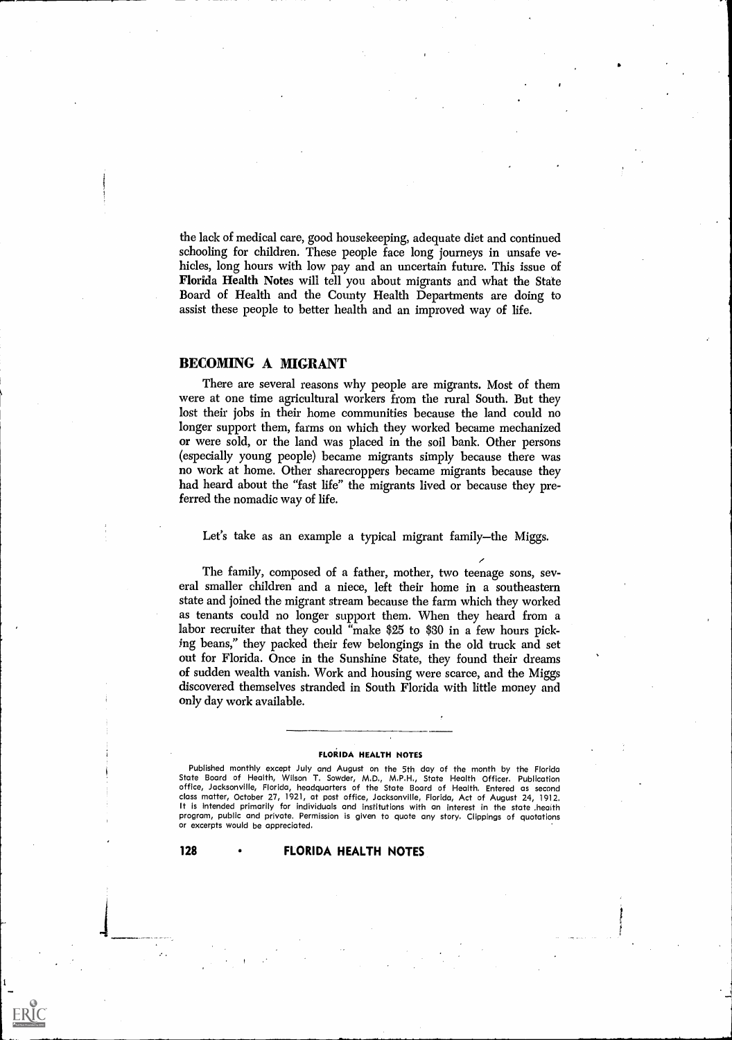the lack of medical care, good housekeeping, adequate diet and continued schooling for children. These people face long journeys in unsafe vehicles, long hours with low pay and an uncertain future. This issue of Florida Health Notes will tell you about migrants and what the State Board of Health and the County Health Departments are doing to assist these people to better health and an improved way of life.

#### BECOMING A MIGRANT

There are several reasons why people are migrants. Most of them were at one time agricultural workers from the rural South. But they lost their jobs in their home communities because the land could no longer support them, farms on which they worked became mechanized or were sold, or the land was placed in the soil bank. Other persons (especially young people) became migrants simply because there was no work at home. Other sharecroppers became migrants because they had heard about the "fast life" the migrants lived or because they preferred the nomadic way of life.

Let's take as an example a typical migrant family—the Miggs.

The family, composed of a father, mother, two teenage sons, several smaller children and a niece, left their home in a southeastern state and joined the migrant stream because the farm which they worked as tenants could no longer support them. When they heard from a labor recruiter that they could "make \$25 to \$30 in a few hours picking beans," they packed their few belongings in the old truck and set out for Florida. Once in the Sunshine State, they found their dreams of sudden wealth vanish. Work and housing were scarce, and the Miggs discovered themselves stranded in South Florida with little money and only day work available.

#### FLORIDA HEALTH NOTES

Published monthly except July and August on the 5th day of the month by the Florida State Board of Health, Wilson T. Sowder, M.D., M.P.H., State Health Officer. Publication office, Jacksonville, Florida, headquarters of the State Board of Health. Entered as second class matter, October 27, 1921, at post office, Jacksonville, Florida, Act of August 24, 1912. It is intended primarily for individuals and institutions with an interest in the state .health program, public and private. Permission is given to quote any story. Clippings of quotations or excerpts would be appreciated.

#### 128 FLORIDA HEALTH NOTES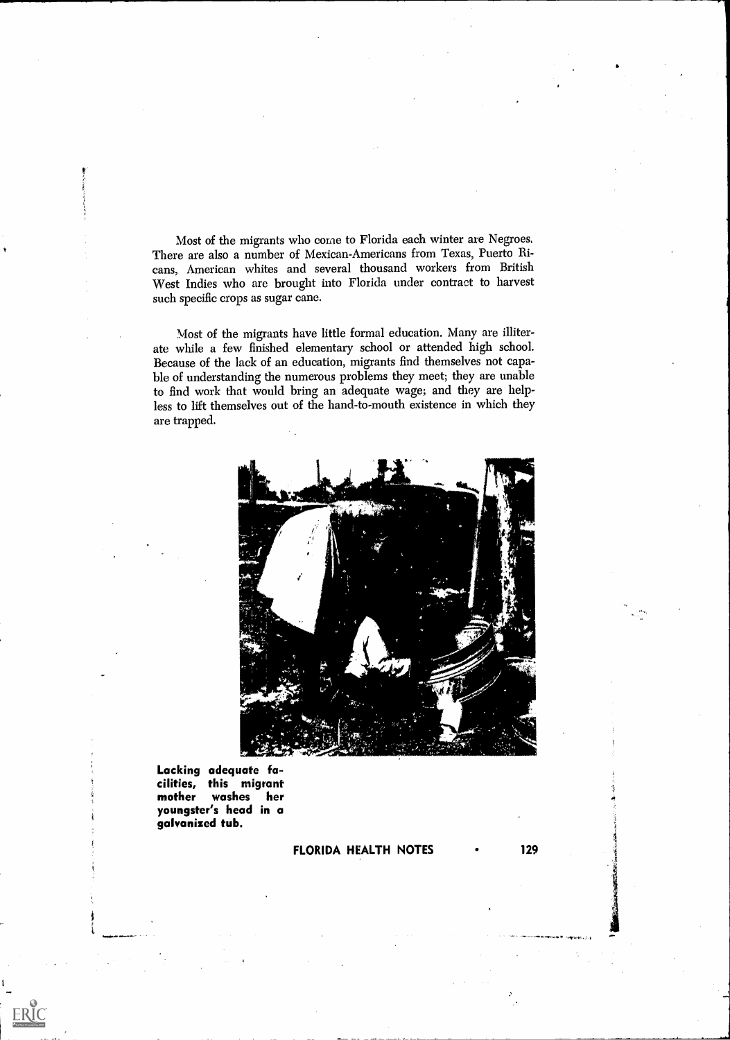Most of the migrants who come to Florida each winter are Negroes. There are also a number of Mexican-Americans from Texas, Puerto Ricans, American whites and several thousand workers from British West Indies who are brought into Florida under contract to harvest such specific crops as sugar cane.

Most of the migrants have little formal education. Many are illiterate while a few finished elementary school or attended high school. Because of the lack of an education, migrants find themselves not capable of understanding the numerous problems they meet; they are unable to find work that would bring an adequate wage; and they are helpless to lift themselves out of the hand-to-mouth existence in which they are trapped.



Lacking adequate facilities, this migrant mother washes her youngster's head in a galvanized tub.

ERIC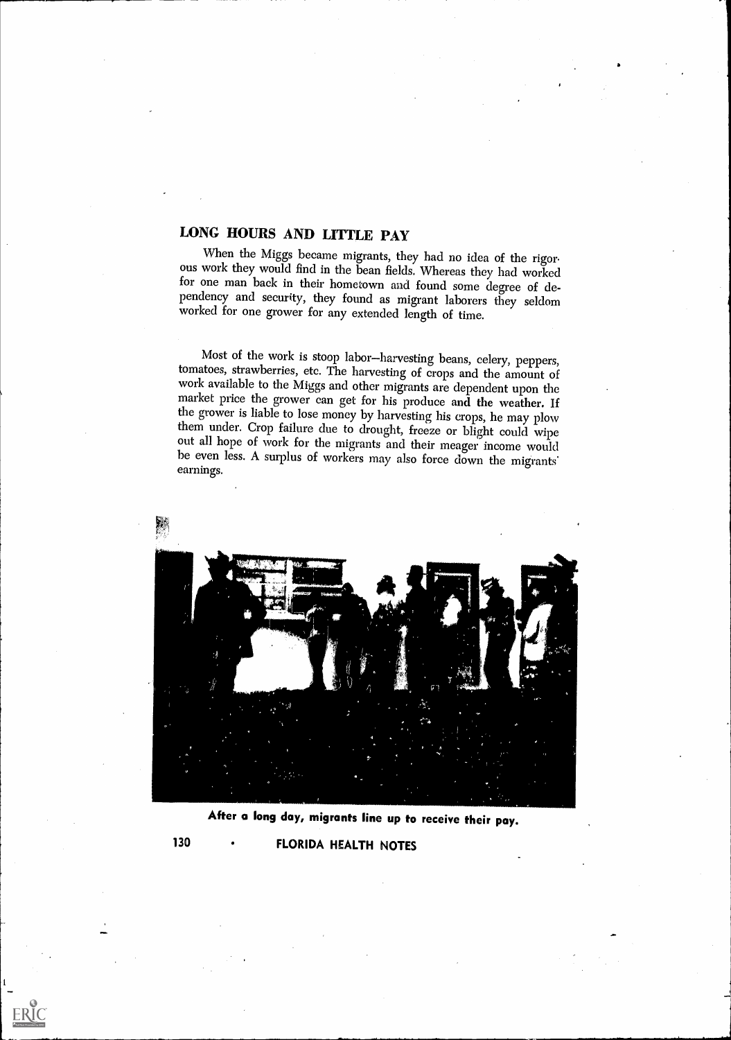## LONG HOURS AND LITTLE PAY

When the Miggs became migrants, they had no idea of the rigor-<br>ous work they would find in the bean fields. Whereas they had worked<br>for one man back in their hometown and found some degree of dependency and security, they found as migrant laborers they seldom worked for one grower for any extended length of time.

Most of the work is stoop labor-harvesting beans, celery, peppers, tomatoes, strawberries, etc. The harvesting of crops and the amount of work available to the Miggs and other migrants are dependent upon the market price t the grower is liable to lose money by harvesting his crops, he may plow them under. Crop failure due to drought, freeze or blight could wipe out all hope of work for the migrants and their meager income would be even less. A surplus of workers may also force down the migrants' earnings.



After a long day, migrants line up to receive their pay.

130 FLORIDA HEALTH NOTES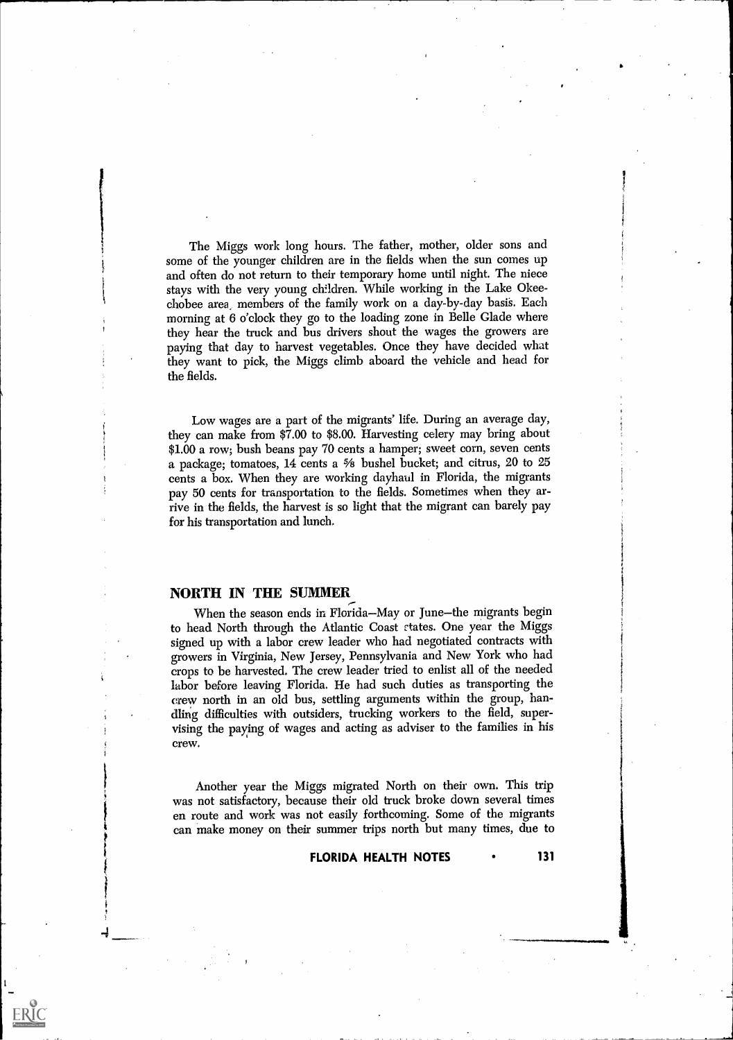The Miggs work long hours. The father, mother, older sons and some of the younger children are in the fields when the sun comes up and often do not return to their temporary home until night. The niece stays with the very young children. While working in the Lake Okeechobee area, members of the family work on a day-by-day basis. Each morning at 6 o'clock they go to the loading zone in Belle Glade where they hear the truck and bus drivers shout the wages the growers are paying that day to harvest vegetables. Once they have decided what they want to pick, the Miggs climb aboard the vehicle and head for the fields.

Low wages are a part of the migrants' life. During an average day, they can make from \$7.00 to \$8.00. Harvesting celery may bring about \$1.00 a row; bush beans pay 70 cents a hamper; sweet corn, seven cents a package; tomatoes, 14 cents a  $\frac{5}{8}$  bushel bucket; and citrus, 20 to 25 cents a box. When they are working dayhaul in Florida, the migrants pay 50 cents for transportation to the fields. Sometimes when they arrive in the fields, the harvest is so light that the migrant can barely pay for his transportation and lunch.

#### NORTH IN THE SUMMER

ERIC

When the season ends in Florida–May or June–the migrants begin to head North through the Atlantic Coast ctates. One year the Miggs signed up with a labor crew leader who had negotiated contracts with growers in Virginia, New Jersey, Pennsylvania and New York who had crops to be harvested. The crew leader tried to enlist all of the needed labor before leaving Florida. He had such duties as transporting the crew north in an old bus, settling arguments within the group, handling difficulties with outsiders, trucking workers to the field, supervising the paying of wages and acting as adviser to the families in his crew.

Another year the Miggs migrated North on their own. This trip was not satisfactory, because their old truck broke down several times en route and work was not easily forthcoming. Some of the migrants can make money on their summer trips north but many times, due to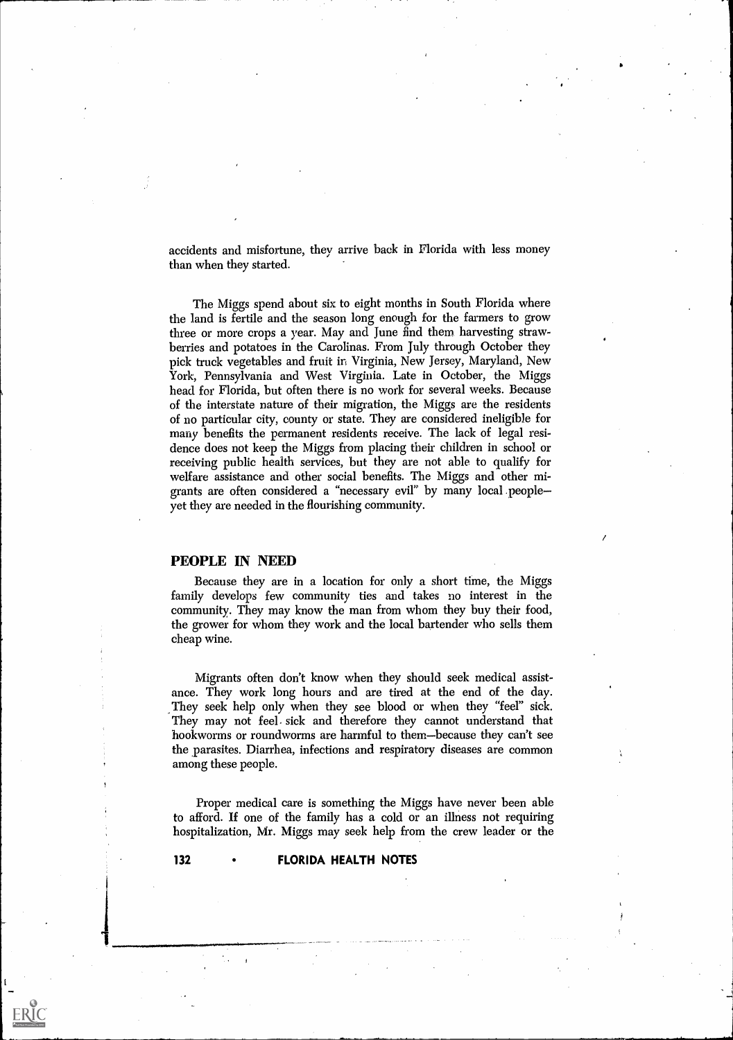accidents and misfortune, they arrive back in Florida with less money than when they started.

The Miggs spend about six to eight months in South Florida where the land is fertile and the season long enough for the farmers to grow three or more crops a year. May and June find them, harvesting strawberries and potatoes in the Carolinas. From July through October they pick truck vegetables and fruit in Virginia, New Jersey, Maryland, New York, Pennsylvania and West Virginia. Late in October, the Miggs head for Florida, but often there is no work for several weeks. Because of the interstate nature of their migration, the Miggs are the residents of no particular city, county or state. They are considered ineligible for many benefits the permanent residents receive. The lack of legal residence does not keep the Miggs from placing their children in school or receiving public health services, but they are not able to qualify for welfare assistance and other social benefits. The Miggs and other migrants are often considered a "necessary evil" by many local .people yet they are needed in the flourishing community.

#### PEOPLE IN NEED

Because they are in a location for only a short time, the Miggs family develops few community ties and takes no interest in the community. They may know the man from whom they buy their food, the grower for whom they work and the local bartender who sells them cheap wine.

Migrants often don't know when they should seek medical assistance. They work long hours and are tired at the end of the day. They seek help only when they see blood or when they "feel" sick. They may not feel. sick and therefore they cannot understand that hookworms or roundworms are harmful to them-because they can't see the parasites. Diarrhea, infections and respiratory diseases are common among these people.

Proper medical care is something the Miggs have never been able to afford. If one of the family has a cold or an illness not requiring hospitalization, Mr. Miggs may seek help from the crew leader or the

ERIC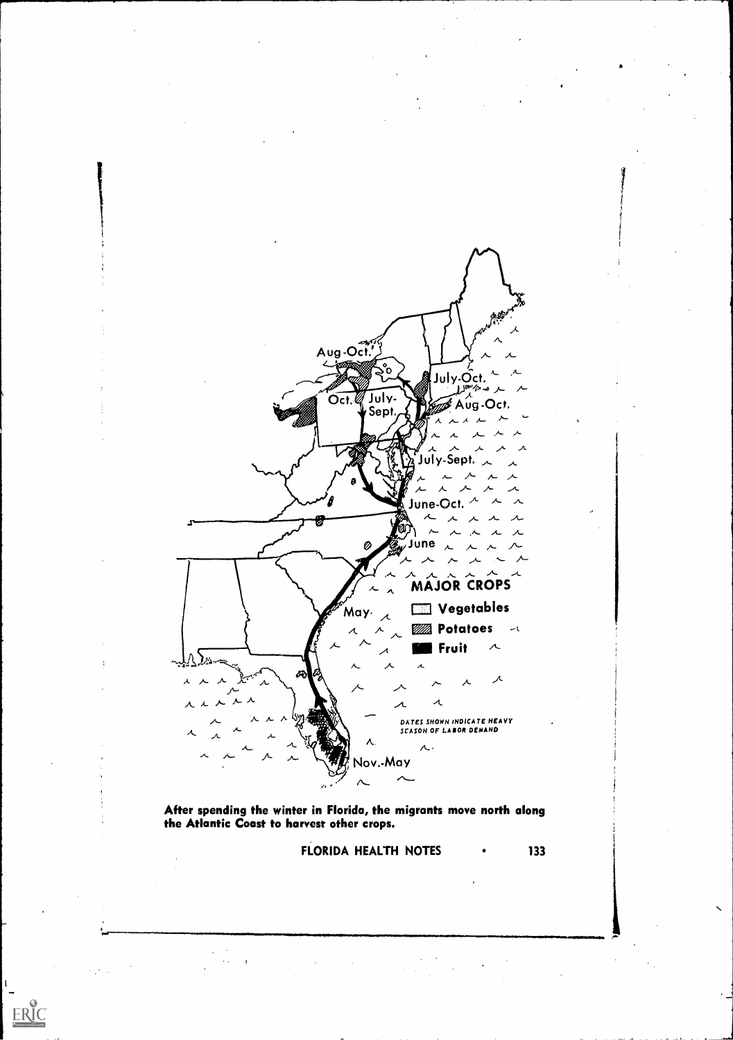

After spending the winter in Florida, the migrants move north along the Atlantic Coast to harvest other crops.

 $\sim$   $\epsilon$ 

 $\langle \cdot \rangle_{\mathcal{E}^{(1)}}$ 

 $\hat{\mathcal{A}}$ 

 $\frac{1}{1}$ 

 $\label{eq:ex1} \underset{\underset{\text{A full fast Proddot}(\text{b})}}{\sum}\underset{\text{Poulated by EHC}}{\bigcirc}$ 

FLORIDA HEALTH NOTES • 133

 $\label{eq:2} \frac{1}{2} \int_{\mathbb{R}^3} \frac{1}{\sqrt{2}} \, \mathrm{d} \xi \, \mathrm{d} \xi \, \mathrm{d} \xi \, \mathrm{d} \xi \, \mathrm{d} \xi \, \mathrm{d} \xi \, \mathrm{d} \xi \, \mathrm{d} \xi \, \mathrm{d} \xi \, \mathrm{d} \xi \, \mathrm{d} \xi \, \mathrm{d} \xi \, \mathrm{d} \xi \, \mathrm{d} \xi \, \mathrm{d} \xi \, \mathrm{d} \xi \, \mathrm{d} \xi \, \mathrm{d} \xi \, \mathrm{d} \xi \, \mathrm{d} \xi \, \mathrm$ 

 $\bar{\infty}$ 

 $\frac{1}{\sqrt{2}}$ 

 $\epsilon$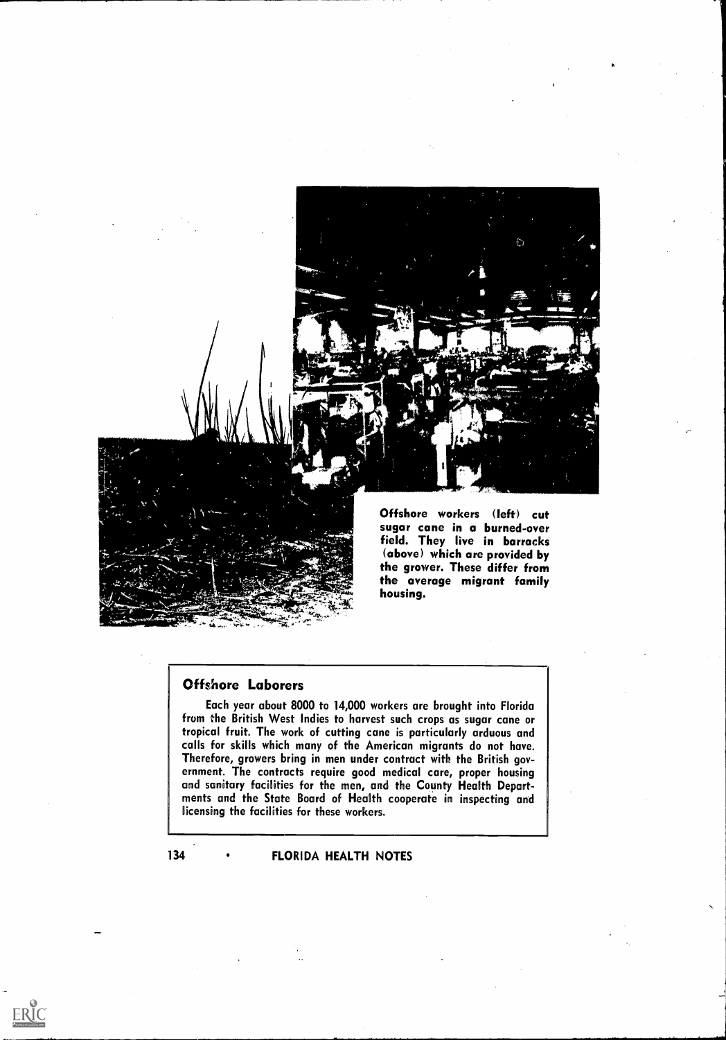

#### Offshore Laborers

Each year about 8000 to 14,000 workers are brought into Florida from the British West Indies to harvest such crops as sugar cane or tropical fruit. The work of cutting cane is particularly arduous and calls for skills which many of the American migrants do not have. Therefore, growers bring in men under contract with the British government. The contracts require good medical care, proper housing and sanitary facilities for the men, and the County Health Departments and the State Board of Health cooperate in inspecting and licensing the facilities for these workers.

#### 134 • FLORIDA HEALTH NOTES

 $\sum_{\mathcal{A}_{\text{Full Set Prooted by EHC}}}$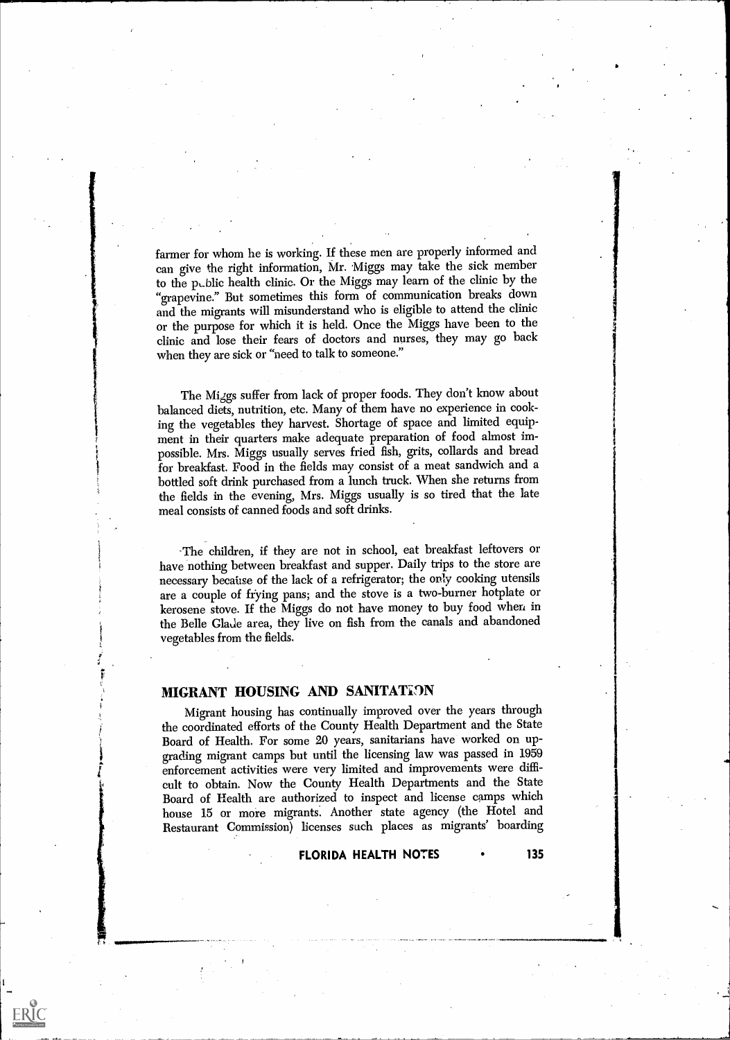farmer for whom he is working. If these men are properly informed and can give the right information, Mr. Miggs may take the sick member to the pLblic health clinic. Or the Miggs may learn of the clinic by the "grapevine." But sometimes this form of communication breaks down and the migrants will misunderstand who is eligible to attend the clinic or the purpose for which it is held. Once the Miggs have been to the clinic and lose their fears of doctors and nurses, they may go back when they are sick or "need to talk to someone."

The Miggs suffer from lack of proper foods. They don't know about balanced diets, nutrition, etc. Many of them have no experience in cooking the vegetables they harvest. Shortage of space and limited equipment in their quarters make adequate preparation of food almost impossible. Mrs. Miggs usually serves fried fish, grits, collards and bread for breakfast. Food in the fields may consist of a meat sandwich and a bottled soft drink purchased from a lunch truck. When she returns from the fields in the evening, Mrs. Miggs usually is so tired that the late meal consists of canned foods and soft drinks.

The children, if they are not in school, eat breakfast leftovers or have nothing between breakfast and supper. Daily trips to the store are necessary because of the lack of a refrigerator; the only cooking utensils are a couple of frying pans; and the stove is a two-burner hotplate or kerosene stove. If the Miggs do not have money to buy food when in the Belle Glade area, they live on fish from the canals and abandoned vegetables from the fields.

#### MIGRANT HOUSING AND SANITATION

ERIC

Migrant housing has continually improved over the years through the coordinated efforts of the County Health Department and the State Board of Health. For some 20 years, sanitarians have worked on upgrading migrant camps but until the licensing law was passed in 1959 enforcement activities were very limited and improvements were difficult to obtain. Now the County Health Departments and the State Board of Health are authorized to inspect and license camps which house 15 or more migrants. Another state agency (the Hotel and Restaurant Commission) licenses such places as migrants' boarding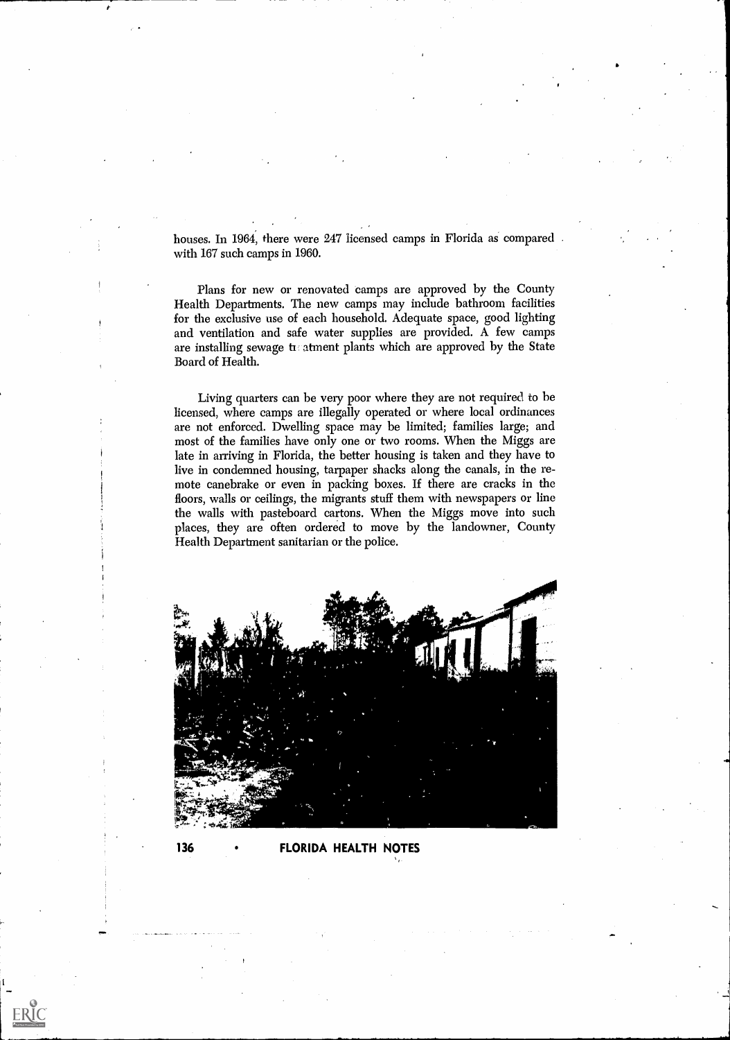houses. In 1964, there were 247 licensed camps in Florida as compared with 167 such camps in 1960.

Plans for new or renovated camps are approved by the County Health Departments. The new camps may include bathroom facilities for the exclusive use of each household. Adequate space, good lighting and ventilation and safe water supplies are provided. A few camps are installing sewage tratment plants which are approved by the State Board of Health.

Living quarters can be very poor where they are not required to be licensed, where camps are illegally operated or where local ordinances are not enforced. Dwelling space may be limited; families large; and most of the families have only one or two rooms. When the Miggs are late in arriving in Florida, the better housing is taken and they have to live in condemned housing, tarpaper shacks along the canals, in the remote canebrake or even in packing boxes. If there are cracks in the floors, walls or ceilings, the migrants stuff them with newspapers or line the walls with pasteboard cartons. When the Miggs move into such places, they are often ordered to move by the landowner, County Health Department sanitarian or the police.



136 FLORIDA HEALTH NOTES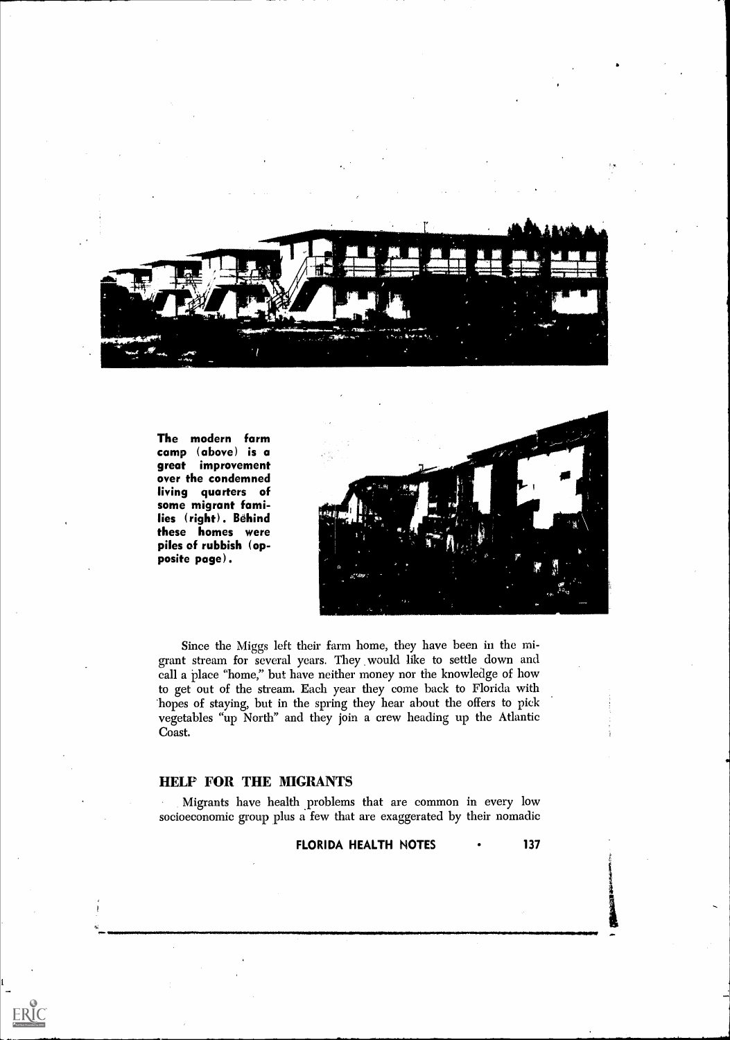

The modern farm camp (above) is a great improvement over the condemned living quarters of some migrant families (right). Behind these homes were piles of rubbish (opposite page).



Since the Miggs left their farm home, they have been in the migrant stream for several years. They would like to settle down and call a place "home," but have neither money nor the knowledge of how to get out of the stream. Each year they come back to Florida with 'hopes of staying, but in the spring they hear about the offers to pick vegetables "up North" and they join a crew heading up the Atlantic Coast.

#### HELP TOR THE MIGRANTS

 $\sum_{\text{A}} \underbrace{\prod_{\text{A}} \underbrace{\prod_{\text{C}} \prod_{\text{C}} \prod_{\text{C}} \prod_{\text{C}} \prod_{\text{D}} \prod_{\text{D}} \prod_{\text{D}} \prod_{\text{D}} \prod_{\text{D}} \prod_{\text{D}} \prod_{\text{D}} \prod_{\text{D}} \prod_{\text{D}} \prod_{\text{D}} \prod_{\text{D}} \prod_{\text{D}} \prod_{\text{D}} \prod_{\text{D}} \prod_{\text{D}} \prod_{\text{D}} \prod_{\text{D}} \prod_{\text{D}} \prod_{\text{D}} \prod_{\text{D}} \prod_{\text{$ 

Migrants have health problems that are common in every low socioeconomic group plus a few that are exaggerated by their nomadic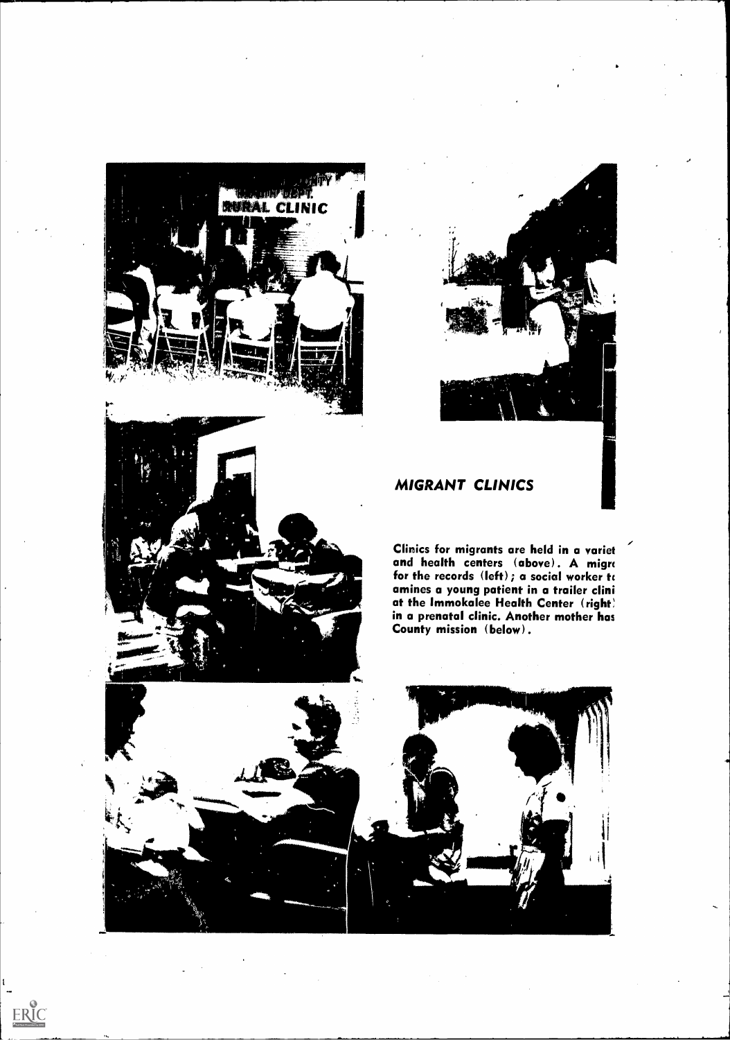

A Maria Bandar



## MIGRANT CLINICS

Clinics for migrants are held in a variet and health centers (above). A migre for the records  $(\text{left})$ ; a social worker to amines a young patient in a trailer clini at the Immokalee Health Center (right) in a prenatal clinic. Another mother has County mission (below).

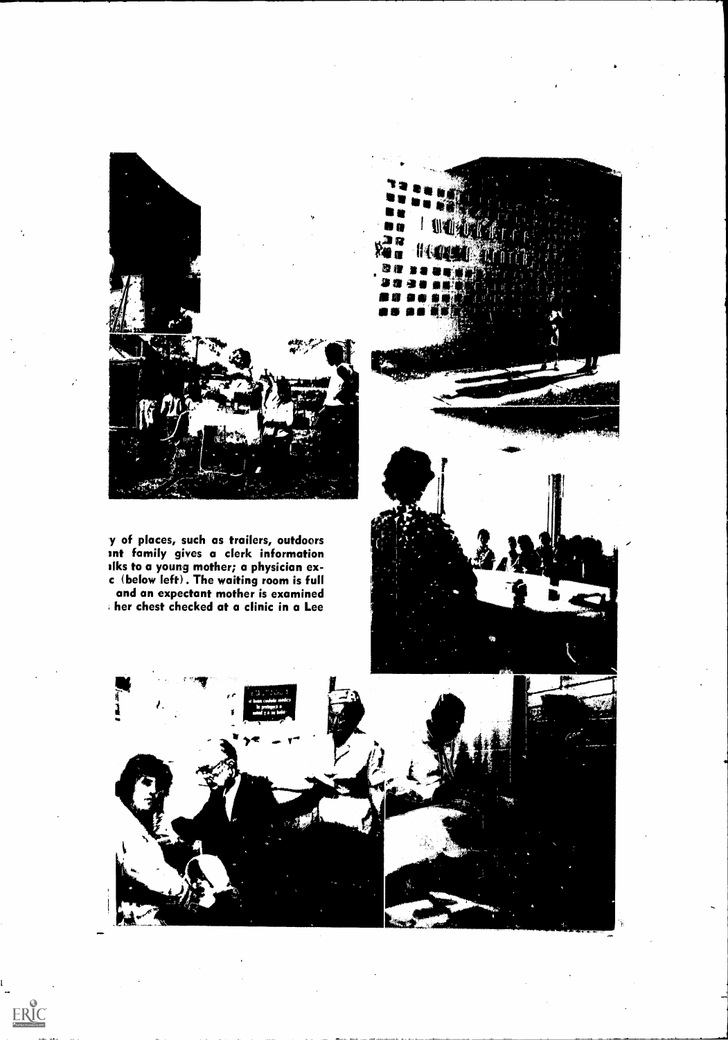

y of places, such as trailers, outdoors int family gives a clerk information elks to a young mother; a physician exc (below left). The waiting room is full and an expectant mother is examined her chest checked at a clinic in a Lee



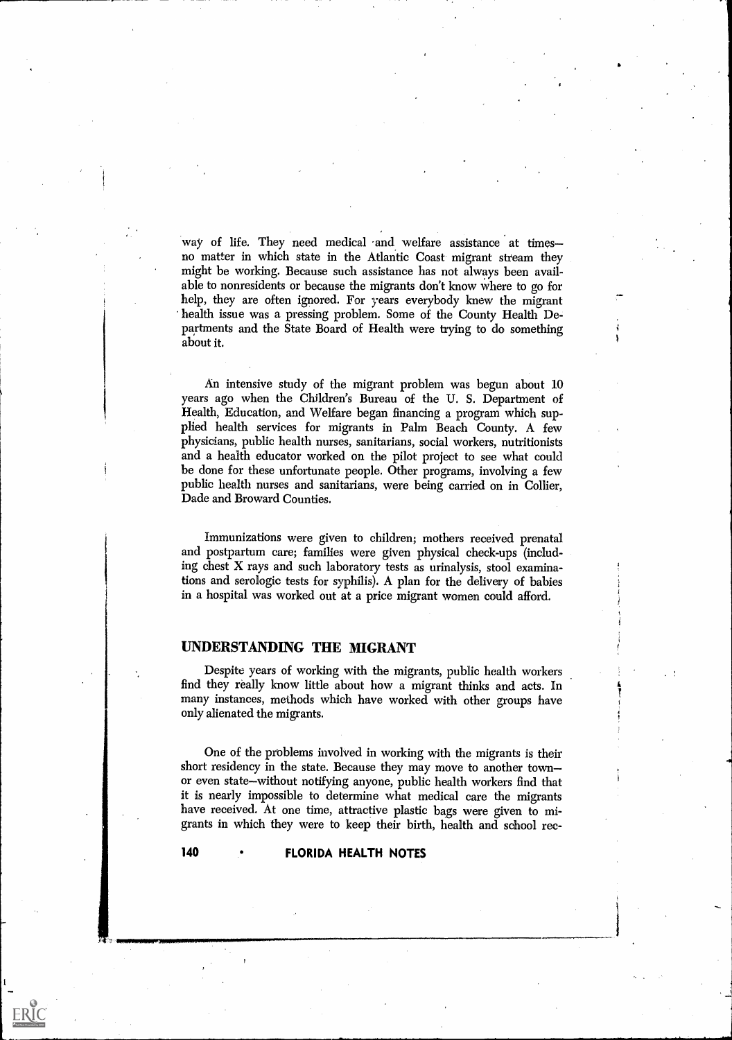way of life. They need medical and welfare assistance at timesno matter in which state in the Atlantic Coast migrant stream they might be working. Because such assistance has not always been available to nonresidents or because the migrants don't know where to go for help, they are often ignored. For years everybody knew the migrant health issue was a pressing problem. Some of the County Health Departments and the State Board of Health were trying to do something about it.

An intensive study of the migrant problem was begun about 10 years ago when the Children's Bureau of the U. S. Department of Health, Education, and Welfare began financing a program which supplied health services for migrants in Palm Beach County. A few physicians, public health nurses, sanitarians, social workers, nutritionists and a health educator worked on the pilot project to see what could be done for these unfortunate people. Other programs, involving a few public health nurses and sanitarians, were being carried on in Collier, Dade and Broward Counties.

Immunizations were given to children; mothers received prenatal and postpartum care; families were given physical check-ups (including chest X rays and such laboratory tests as urinalysis, stool examinations and serologic tests for syphilis). A plan for the delivery of babies in a hospital was worked out at a price migrant women could afford.

#### UNDERSTANDING THE MIGRANT

Despite years of working with the migrants, public health workers find they really know little about how a migrant thinks and acts. In many instances, methods which have worked with other groups have only alienated the migrants.

One of the problems involved in working with the migrants is their short residency in the state. Because they may move to another town or even state—without notifying anyone, public health workers find that it is nearly impossible to determine what medical care the migrants have received. At one time, attractive plastic bags were given to migrants in which they were to keep their birth, health and school rec-

#### 140 • FLORIDA HEALTH NOTES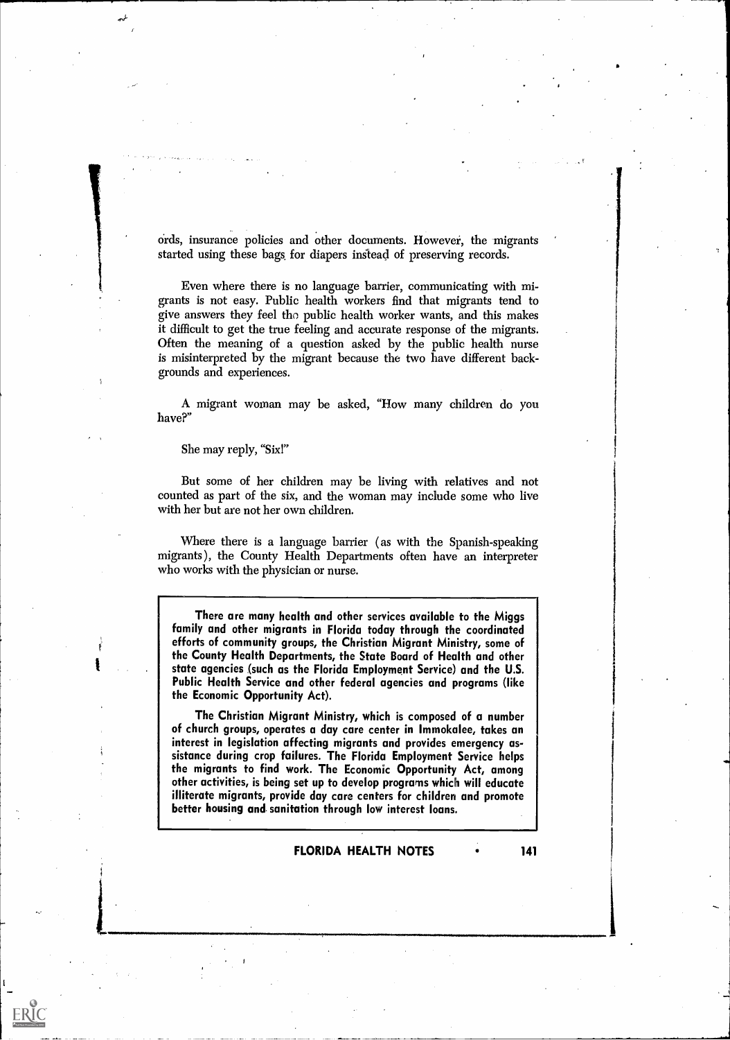ords, insurance policies and other documents. However, the migrants started using these bags, for diapers instead of preserving records.

Even where there is no language barrier, communicating with migrants is not easy. Public health workers find that migrants tend to give answers they feel the public health worker wants, and this makes it difficult to get the true feeling and accurate response of the migrants. Often the meaning of a question asked by the public health nurse is misinterpreted by the migrant because the two have different backgrounds and experiences.

A migrant woman may be asked, "How many children do you have?"

She may reply, "Sixl"

ERIC

But some of her children may be living with relatives and not counted as part of the six, and the woman may include some who live with her but are not her own children.

Where there is a language barrier ( as with the Spanish-speaking migrants), the County Health Departments often have an interpreter who works with the physician or nurse.

There are many health and other services available to the Miggs family and other migrants in Florida today through the coordinated efforts of community groups, the Christian Migrant Ministry, some of the County Health Departments, the State Board of Health and other state agencies (such as the Florida Employment Service) and the U.S. Public Health Service and other federal agencies and programs (like the Economic Opportunity Act).

The Christian Migrant Ministry, which is composed of a number of church groups, operates a day care center in Immokalee, takes an interest in legislation affecting migrants and provides emergency assistance during crop failures. The Florida Employment Service helps the migrants to find work. The Economic Opportunity Act, among other activities, is being set up to develop programs which will educate illiterate migrants, provide day care centers for children and promote better housing and. sanitation through low interest loans.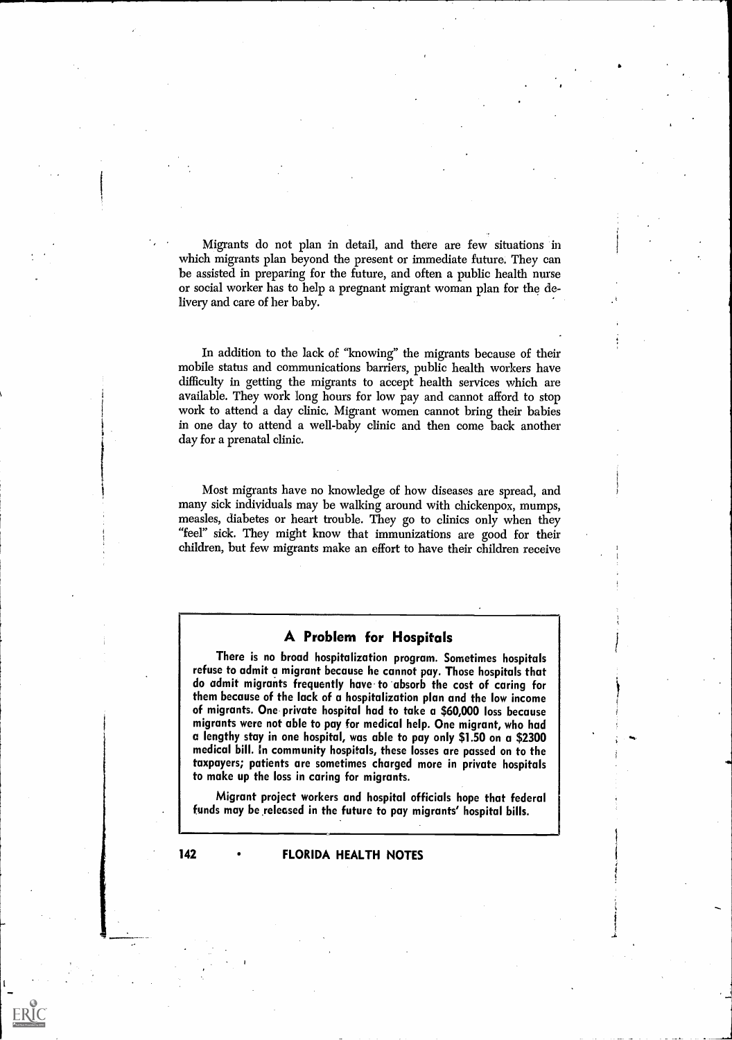Migrants do not plan in detail, and there are few situations in which migrants plan beyond the present or immediate future. They can be assisted in preparing for the future, and often a public health nurse or social worker has to help a pregnant migrant woman plan for the delivery and care of her baby.

In addition to the lack of "knowing" the migrants because of their mobile status and communications barriers, public health workers have difficulty in getting the migrants to accept health services which are available. They work long hours for low pay and cannot afford to stop work to attend a day clinic, Migrant women cannot bring their babies in one day to attend a well-baby clinic and then come back another day for a prenatal clinic.

Most migrants have no knowledge of how diseases are spread, and many sick individuals may be walking around with chickenpox, mumps, measles, diabetes or heart trouble. They go to clinics only when they "feel" sick. They might know that immunizations are good for their children, but few migrants make an effort to have their children receive

#### A Problem for Hospitals

There is no broad hospitalization program. Sometimes hospitals refuse to admit a migrant because he cannot pay. Those hospitals that do admit migrants frequently have to absorb the cost of caring for them because of the lack of a hospitalization plan and the low income of migrants. One private hospital had to take a \$60,000 loss because migrants were not able to pay for medical help. One migrant, who had a lengthy stay in one hospital, was able to pay only \$1.50 on a \$2300 medical bill. In community hospitals, these losses are passed on to the taxpayers; patients are sometimes charged more in private hospitals to make up the loss in caring for migrants.

Migrant project workers and hospital officials hope that federal funds may be released in the future to pay migrants' hospital bills.

ERIC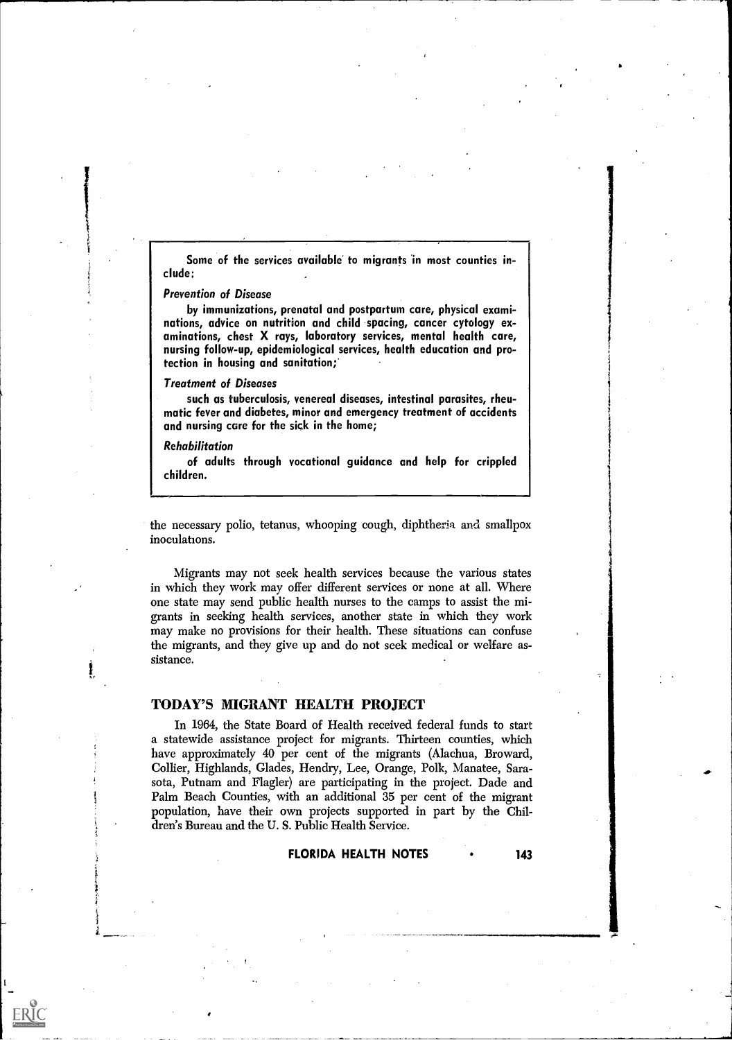Some of the services available to migrants in most counties include:

#### Prevention of Disease

by immunizations, prenatal and postpartum care, physical examinations, advice on nutrition and child spacing, cancer cytology examinations, chest X rays, laboratory services, mental health care, nursing follow-up, epidemiological services, health education and protection in housing and sanitation;'

#### Treatment of Diseases

such as tuberculosis, venereal diseases, intestinal parasites, rheumatic fever and diabetes, minor and emergency treatment of accidents and nursing care for the sick in the home;

#### Rehabilitation

ERIC

of adults through vocational guidance and help for crippled children.

the necessary polio, tetanus, whooping cough, diphtheria and smallpox inoculations.

Migrants may not seek health services because the various states in which they work may offer different services or none at all. Where one state may send public health nurses to the camps to assist the migrants in seeking health services, another state in which they work may make no provisions for their health. These situations can confuse the migrants, and they give up and do not seek medical or welfare assistance.

#### TODAY'S MIGRANT HEALTH PROJECT

In 1964, the State Board of Health received federal funds to start a statewide assistance project for migrants. Thirteen counties, which have approximately 40 per cent of the migrants (Alachua, Broward, Collier, Highlands, Glades, Hendry, Lee, Orange, Polk, Manatee, Sarasota, Putnam and Flagler) are participating in the project. Dade and Palm Beach Counties, with an additional 35 per cent of the migrant population, have their own projects supported in part by the Children's Bureau and the U. S. Public Health Service.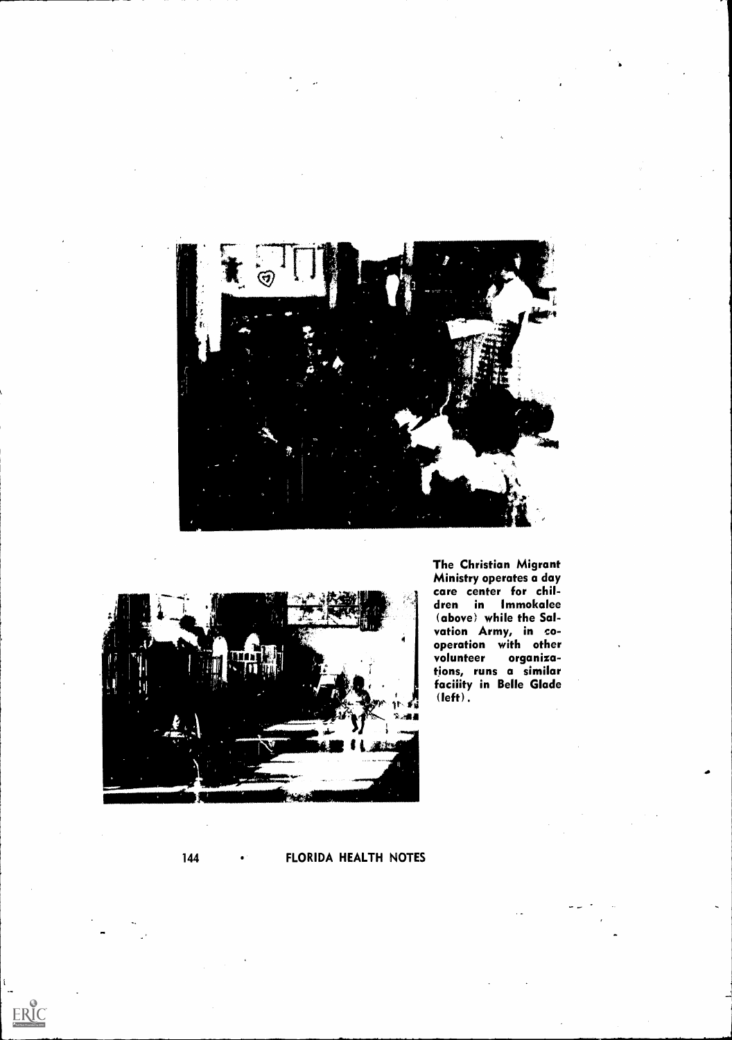



The Christian Migrant Ministry operates a day care center for children in Immokalee (above) while the Salvation Army, in co-<br>operation with other operation with other volunteer organizations, runs a similar facility in Belle Glade  $(\text{left})$  .

### 144 • FLORIDA HEALTH NOTES

 $ERIC$ 

 $\sum_{i=1}^{n}$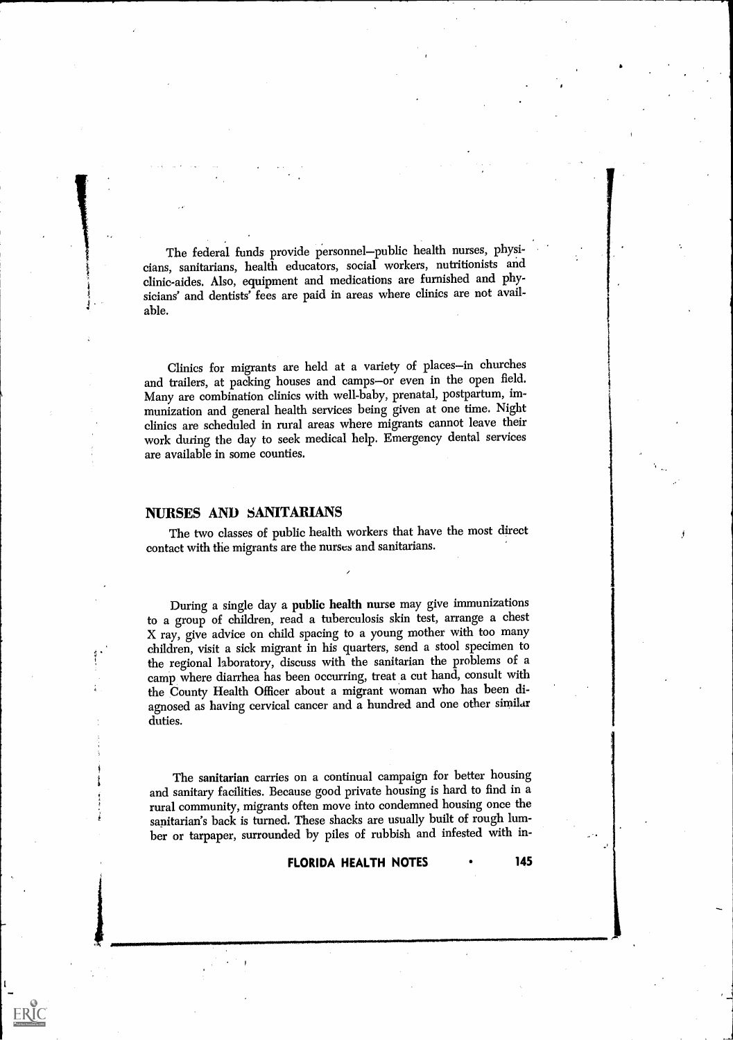The federal funds provide personnel-public health nurses, physicians, sanitarians, health educators, social workers, nutritionists and clinic-aides. Also, equipment and medications are furnished and physicians' and dentists' fees are paid in areas where clinics are not available.

Clinics for migrants are held at a variety of places-in churches and trailers, at packing houses and camps-or even in the open field. Many are combination clinics with well-baby, prenatal, postpartum, immunization and general health services being given at one time. Night clinics are scheduled in rural areas where migrants cannot leave their work during the day to seek medical help. Emergency dental services are available in some counties.

#### NURSES AND SANITARIANS

The two classes of public health workers that have the most direct contact with the migrants are the nurses and sanitarians.

During a single day a public health nurse may give immunizations to a group of children, read a tuberculosis skin test, arrange a chest X ray, give advice on child spacing to a young mother with too many children, visit a sick migrant in his quarters, send a stool specimen to the regional laboratory, discuss with the sanitarian the problems of a camp where diarrhea has been occurring, treat a cut hand, consult with the County Health Officer about a migrant woman who has been diagnosed as having cervical cancer and a hundred and one other similar duties.

The sanitarian carries on a continual campaign for better housing and sanitary facilities. Because good private housing is hard to find in a rural community, migrants often move into condemned housing once the sanitarian's back is turned. These shacks are usually built of rough lumber or tarpaper, surrounded by piles of rubbish and infested with in-

#### FLORIDA HEALTH NOTES • 145

\_\_J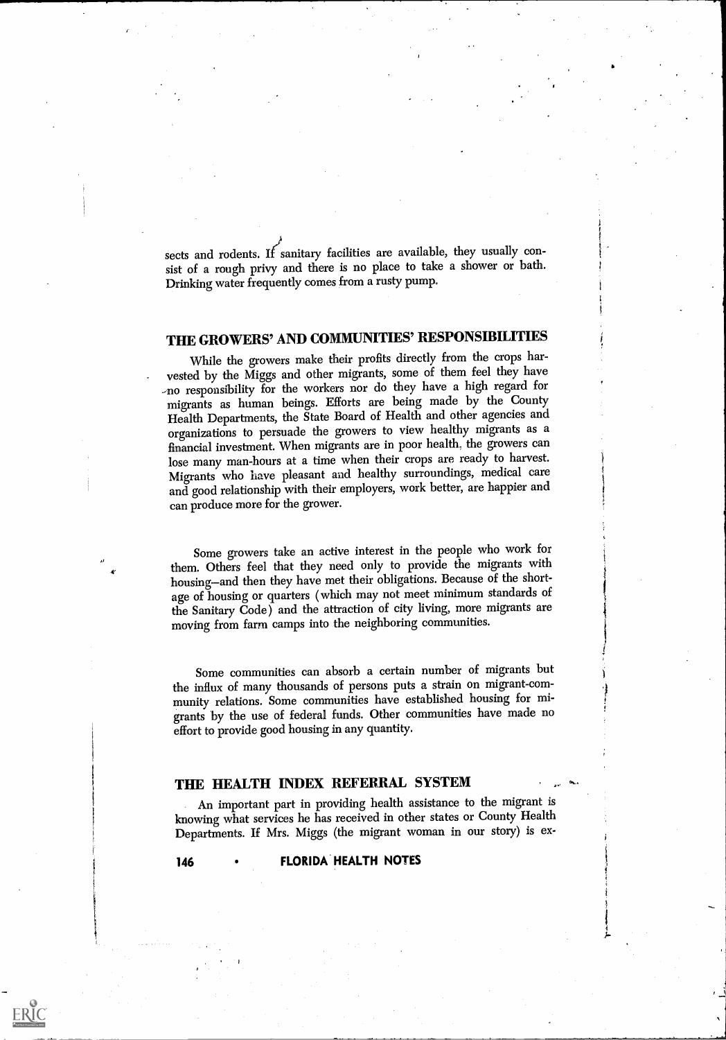sects and rodents. If sanitary facilities are available, they usually consist of a rough privy and there is no place to take a shower or bath. Drinking water frequently comes from a rusty pump.

### THE GROWERS' AND COMMUNITIES' RESPONSIBILITIES

While the growers make their profits directly from the crops harvested by the Miggs and other migrants, some of them feel they have -no responsibility for the workers nor do they have a high regard for migrants as human beings. Efforts are being made by the County Health Departments, the State Board of Health and other agencies and organizations to persuade the growers to view healthy migrants as a financial investment. When migrants are in poor health, the growers can lose many man-hours at a time when their crops are ready to harvest. Migrants who have pleasant and healthy surroundings, medical care and good relationship with their employers, work better, are happier and can produce more for the grower.

Some growers take an active interest in the people who work for them. Others feel that they need only to provide the migrants with housing-and then they have met their obligations. Because of the shortage of housing or quarters ( which may not meet minimum standards of the Sanitary Code) and the attraction of city living, more migrants are moving from farm camps into the neighboring communities.

Some communities can absorb a certain number of migrants but the influx of many thousands of persons puts a strain on migrant-community relations. Some communities have established housing for migrants by the use of federal funds. Other communities have made no effort to provide good housing in any quantity.

#### THE HEALTH INDEX REFERRAL SYSTEM

An important part in providing health assistance to the migrant is knowing what services he has received in other states or County Health Departments. If Mrs. Miggs (the migrant woman in our story) is ex-

#### 146 • FLORIDA HEALTH NOTES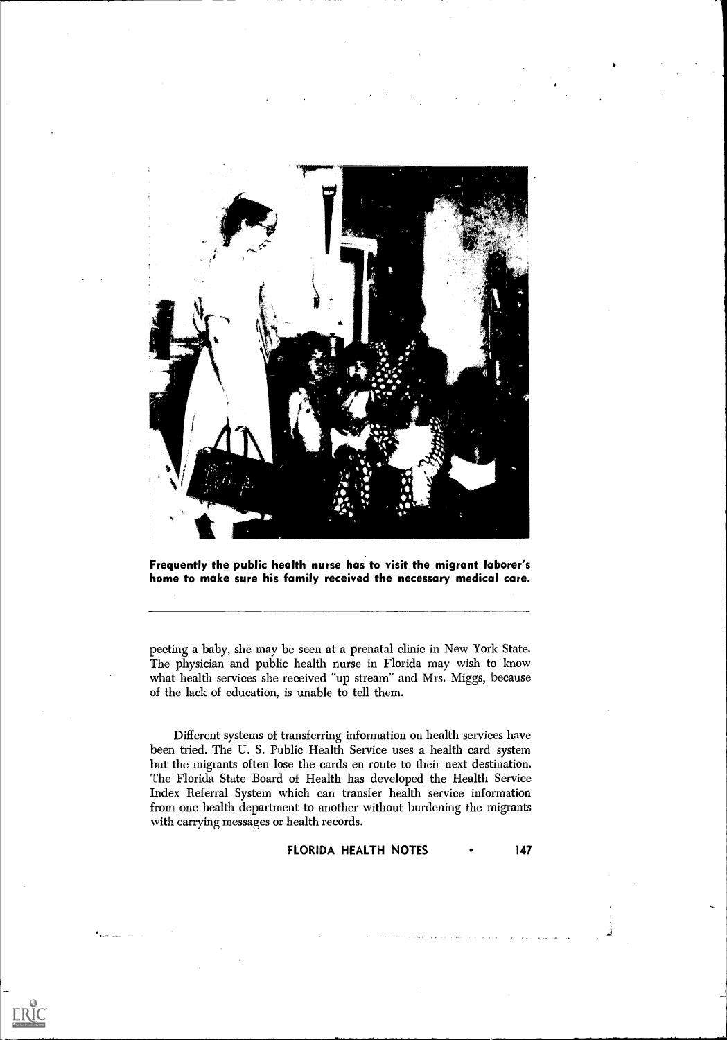

Frequently the public health nurse has to visit the migrant laborer's home to make sure his family received the necessary medical care.

pecting a baby, she may be seen at a prenatal clinic in New York State. The physician and public health nurse in Florida may wish to know what health services she received "up stream" and Mrs. Miggs, because of the lack of education, is unable to tell them.

Different systems of transferring information on health services have been tried. The U. S. Public Health Service uses a health card system but the migrants often lose the cards en route to their next destination. The Florida State Board of Health has developed the Health Service Index Referral System which can transfer health service information from one health department to another without burdening the migrants with carrying messages or health records.

ERIC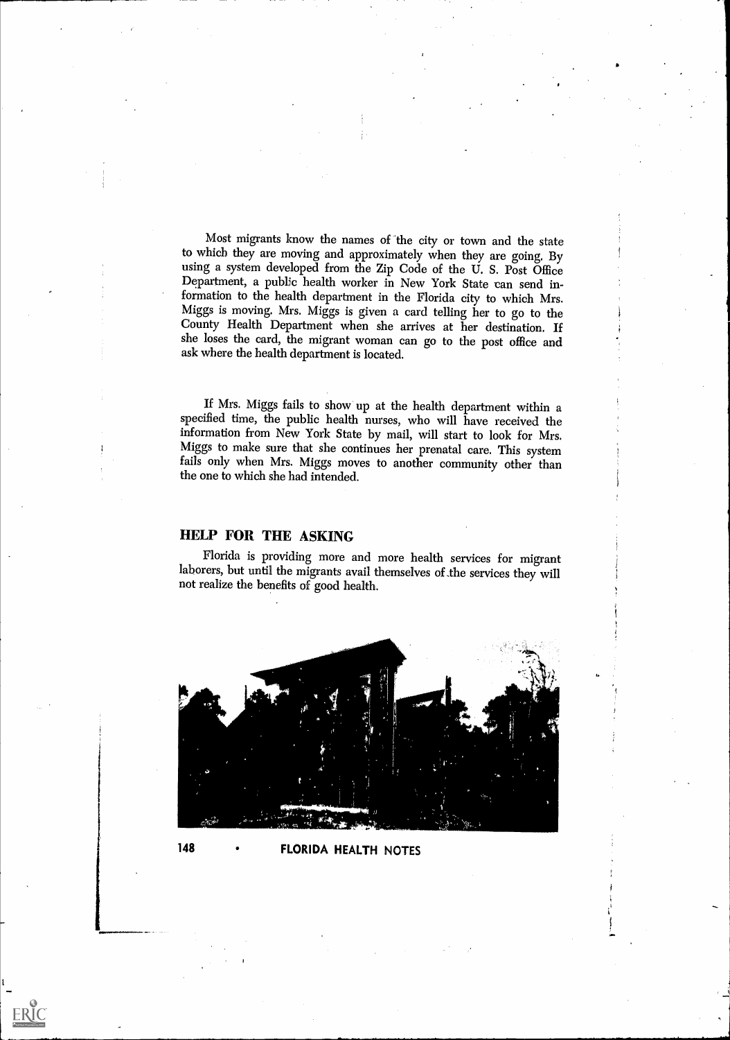Most migrants know the names of the city or town and the state to which they are moving and approximately when they are going. By using a system developed from the Zip Code of the U. S. Post Office Department, a public health worker in New York State can send information to the health department in the Florida city to which Mrs. Miggs is moving. Mrs. Miggs is given a card telling her to go to the County Health Department when she arrives at her destination. If she loses the card, the migrant woman can go to the post office and ask where the health department is located.

If Mrs. Miggs fails to show' up at the health department within a specified time, the public health nurses, who will have received the information from New York State by mail, will start to look for Mrs. Miggs to make sure that she continues her prenatal care. This system fails only when Mrs. Miggs moves to another community other than the one to which she had intended.

#### HELP FOR THE ASKING

Florida is providing more and more health services for migrant laborers, but until the migrants avail themselves of the services they will not realize the benefits of good health.



#### 148 FLORIDA HEALTH NOTES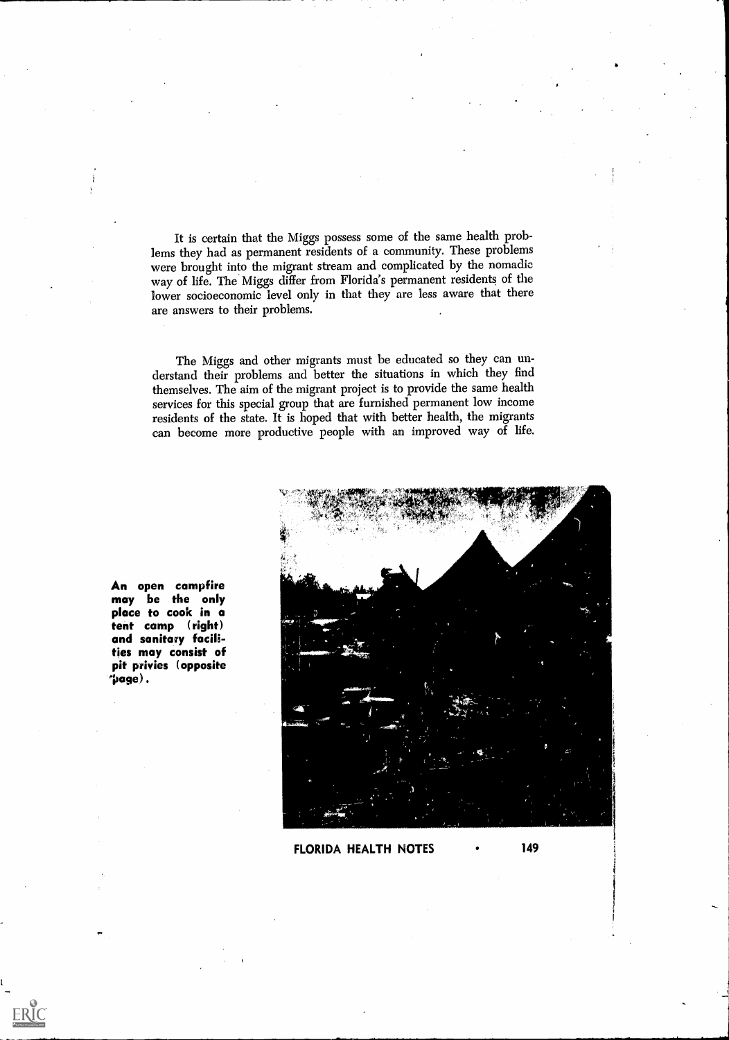It is certain that the Miggs possess some of the same health problems they had as permanent residents of a community. These problems were brought into the migrant stream and complicated by the nomadic way of life. The Miggs differ from Florida's permanent residents of the lower socioeconomic level only in that they are less aware that there are answers to their problems.

The Miggs and other migrants must be educated so they can understand their problems and better the situations in which they find themselves. The aim of the migrant project is to provide the same health services for this special group that are furnished permanent low income residents of the state. It is hoped that with better health, the migrants can become more productive people with an improved way of life.



An open campfire may be the only place to cook in a tent camp (right) and sanitary facilities may consist of pit privies (opposite 'page).

 $\mathop{\mathrm{\mathbf{ERIC}}}\limits_{\mathop{\mathsf{Aut}\mathrm{Ext}\mathrm{Pounded}}}\mathop{\mathsf{P}_\mathrm{F}}\limits_{\mathop{\mathrm{Frob}}\nolimits}$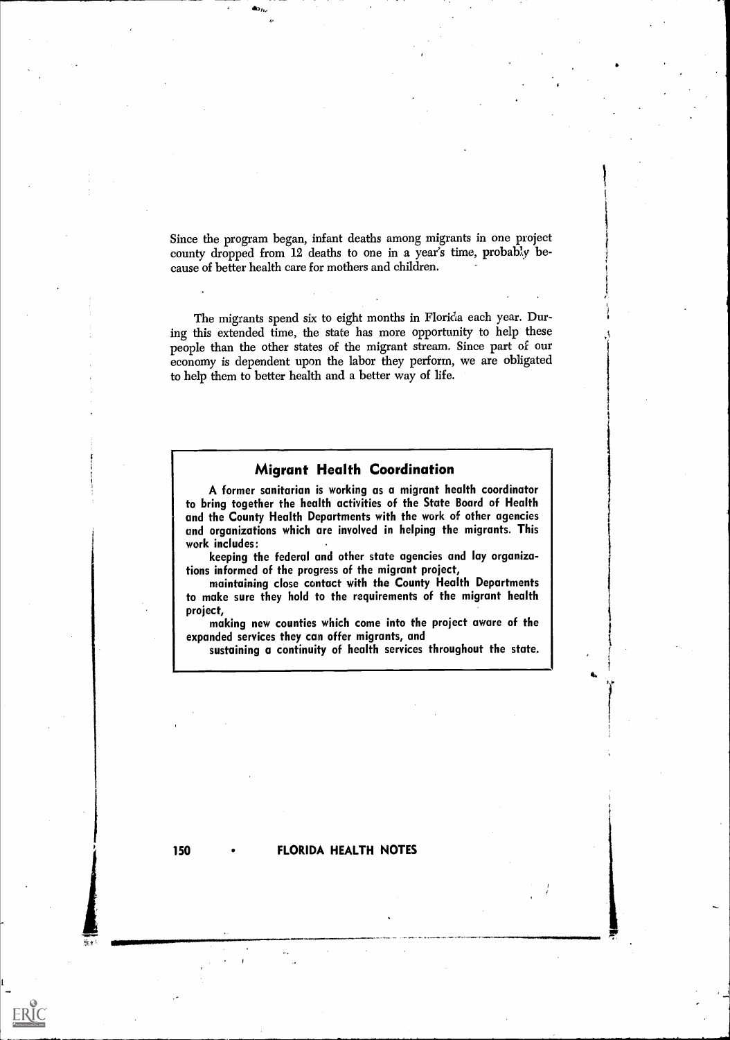Since the program began, infant deaths among migrants in one project county dropped from 12 deaths to one in a year's time, probably because of better health care for mothers and children.

The migrants spend six to eight months in Florida each year. During this extended time, the state has more opportunity to help these people than the other states of the migrant stream. Since part of our economy is dependent upon the labor they perform, we are obligated to help them to better health and a better way of life.

#### Migrant Health Coordination

A former sanitarian is working as a migrant health coordinator to bring together the health activities of the State Board of Health and the County Health Departments with the work of other agencies and organizations which are involved in helping the migrants. This work includes:

keeping the federal and other state agencies and lay organizations informed of the progress of the migrant project,

maintaining close contact with the County Health Departments to make sure they hold to the requirements of the migrant health project,

making new counties which come into the project aware of the expanded services they can offer migrants, and

sustaining a continuity of health services throughout the state.

 $ERIC$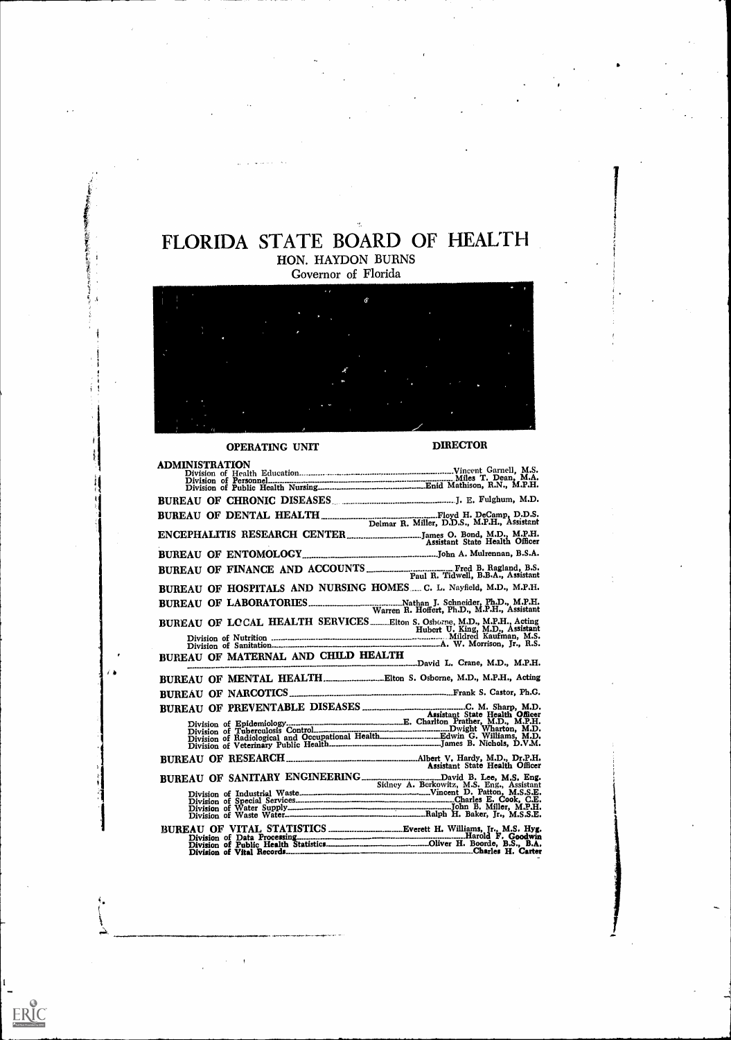## FLORIDA STATE BOARD OF HEALTH HON. HAYDON BURNS

Governor of Florida

 $\hat{G}$ 

#### OPERATING UNIT

4,

 $\frac{1}{1}$ 

ERIC

7. A

DIRECTOR

| <b>ADMINISTRATION</b>                                                                                 |                                |
|-------------------------------------------------------------------------------------------------------|--------------------------------|
|                                                                                                       |                                |
|                                                                                                       |                                |
| BUREAU OF CHRONIC DISEASES COMMITTEES IN THE Fulghum, M.D.                                            |                                |
|                                                                                                       |                                |
|                                                                                                       |                                |
|                                                                                                       |                                |
| BUREAU OF FINANCE AND ACCOUNTS FRAME RADIE RAND Paul R. Tidwell, B.B.A., Assistant                    |                                |
| BUREAU OF HOSPITALS AND NURSING HOMES C. L. Nayfield, M.D., M.P.H.                                    |                                |
|                                                                                                       |                                |
|                                                                                                       |                                |
|                                                                                                       |                                |
| BUREAU OF MATERNAL AND CHILD HEALTH                                                                   |                                |
| BUREAU OF MENTAL HEALTHElton S. Osborne, M.D., M.P.H., Acting                                         |                                |
|                                                                                                       |                                |
|                                                                                                       |                                |
|                                                                                                       |                                |
|                                                                                                       |                                |
|                                                                                                       |                                |
|                                                                                                       | Assistant State Health Officer |
| BUREAU OF SANITARY ENGINEERING Sidney A. Berkowitz, M.S. Eng., Assistant Division of Industrial Waste |                                |
|                                                                                                       |                                |
|                                                                                                       |                                |
|                                                                                                       |                                |
|                                                                                                       |                                |
|                                                                                                       |                                |
|                                                                                                       |                                |